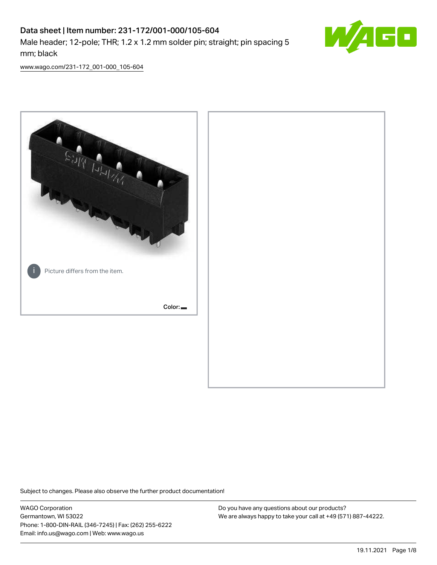## Data sheet | Item number: 231-172/001-000/105-604 Male header; 12-pole; THR; 1.2 x 1.2 mm solder pin; straight; pin spacing 5 mm; black



[www.wago.com/231-172\\_001-000\\_105-604](http://www.wago.com/231-172_001-000_105-604)



Subject to changes. Please also observe the further product documentation!

WAGO Corporation Germantown, WI 53022 Phone: 1-800-DIN-RAIL (346-7245) | Fax: (262) 255-6222 Email: info.us@wago.com | Web: www.wago.us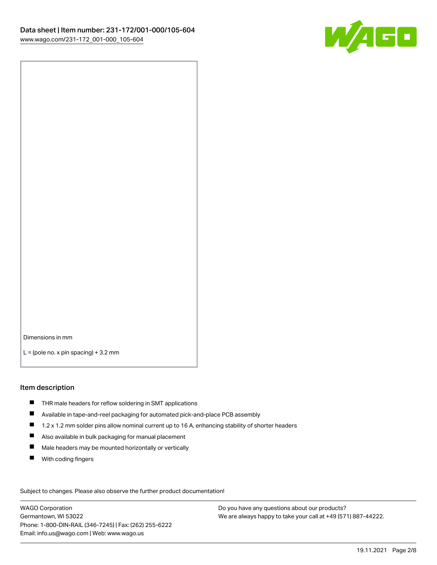

Dimensions in mm

 $L =$  (pole no. x pin spacing) + 3.2 mm

#### Item description

- THR male headers for reflow soldering in SMT applications
- Available in tape-and-reel packaging for automated pick-and-place PCB assembly
- $\blacksquare$ 1.2 x 1.2 mm solder pins allow nominal current up to 16 A, enhancing stability of shorter headers
- Also available in bulk packaging for manual placement
- $\blacksquare$ Male headers may be mounted horizontally or vertically
- $\blacksquare$ With coding fingers

Subject to changes. Please also observe the further product documentation! Data

WAGO Corporation Germantown, WI 53022 Phone: 1-800-DIN-RAIL (346-7245) | Fax: (262) 255-6222 Email: info.us@wago.com | Web: www.wago.us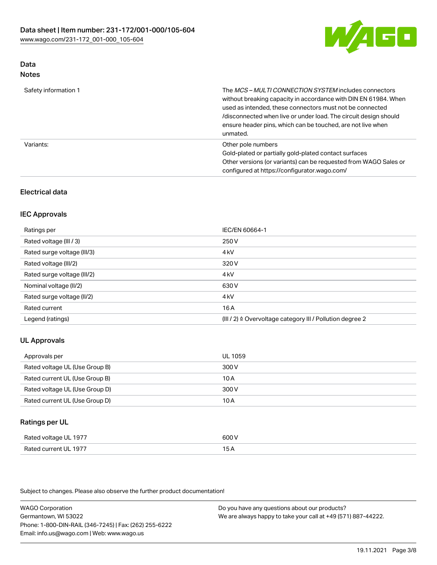

### Data Notes

| Safety information 1 | The MCS-MULTI CONNECTION SYSTEM includes connectors<br>without breaking capacity in accordance with DIN EN 61984. When<br>used as intended, these connectors must not be connected<br>/disconnected when live or under load. The circuit design should<br>ensure header pins, which can be touched, are not live when<br>unmated. |
|----------------------|-----------------------------------------------------------------------------------------------------------------------------------------------------------------------------------------------------------------------------------------------------------------------------------------------------------------------------------|
| Variants:            | Other pole numbers<br>Gold-plated or partially gold-plated contact surfaces<br>Other versions (or variants) can be requested from WAGO Sales or<br>configured at https://configurator.wago.com/                                                                                                                                   |

## Electrical data

### IEC Approvals

| Ratings per                 | IEC/EN 60664-1                                                        |
|-----------------------------|-----------------------------------------------------------------------|
| Rated voltage (III / 3)     | 250 V                                                                 |
| Rated surge voltage (III/3) | 4 <sub>k</sub> V                                                      |
| Rated voltage (III/2)       | 320 V                                                                 |
| Rated surge voltage (III/2) | 4 <sub>kV</sub>                                                       |
| Nominal voltage (II/2)      | 630 V                                                                 |
| Rated surge voltage (II/2)  | 4 <sub>k</sub> V                                                      |
| Rated current               | 16A                                                                   |
| Legend (ratings)            | $(III / 2)$ $\triangle$ Overvoltage category III / Pollution degree 2 |

#### UL Approvals

| Approvals per                  | UL 1059 |
|--------------------------------|---------|
| Rated voltage UL (Use Group B) | 300 V   |
| Rated current UL (Use Group B) | 10 A    |
| Rated voltage UL (Use Group D) | 300 V   |
| Rated current UL (Use Group D) | 10 A    |

## Ratings per UL

| Rated voltage UL 1977            | ור                                        |
|----------------------------------|-------------------------------------------|
| Lourrent III, 1977<br>Rated<br>. | $\sim$ $\sim$ $\sim$ $\sim$ $\sim$ $\sim$ |

Subject to changes. Please also observe the further product documentation!

WAGO Corporation Germantown, WI 53022 Phone: 1-800-DIN-RAIL (346-7245) | Fax: (262) 255-6222 Email: info.us@wago.com | Web: www.wago.us Do you have any questions about our products? We are always happy to take your call at +49 (571) 887-44222.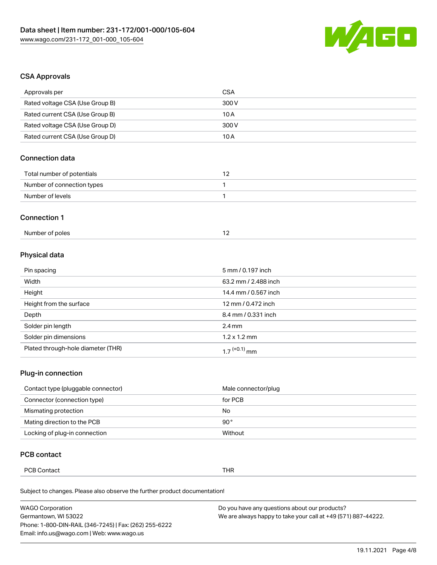

### CSA Approvals

| Approvals per                   | CSA   |
|---------------------------------|-------|
| Rated voltage CSA (Use Group B) | 300 V |
| Rated current CSA (Use Group B) | 10 A  |
| Rated voltage CSA (Use Group D) | 300 V |
| Rated current CSA (Use Group D) | 10 A  |

## Connection data

| Total number of potentials |  |
|----------------------------|--|
| Number of connection types |  |
| Number of levels           |  |

#### Connection 1

| Number of poles |  |
|-----------------|--|
|-----------------|--|

## Physical data

| Pin spacing                        | 5 mm / 0.197 inch        |
|------------------------------------|--------------------------|
| Width                              | 63.2 mm / 2.488 inch     |
| Height                             | 14.4 mm / 0.567 inch     |
| Height from the surface            | 12 mm / 0.472 inch       |
| Depth                              | 8.4 mm / 0.331 inch      |
| Solder pin length                  | $2.4 \,\mathrm{mm}$      |
| Solder pin dimensions              | $1.2 \times 1.2$ mm      |
| Plated through-hole diameter (THR) | 1 7 <sup>(+0.1)</sup> mm |

### Plug-in connection

| Contact type (pluggable connector) | Male connector/plug |
|------------------------------------|---------------------|
| Connector (connection type)        | for PCB             |
| Mismating protection               | No                  |
| Mating direction to the PCB        | 90°                 |
| Locking of plug-in connection      | Without             |

## PCB contact

| <b>PCB Contact</b> | TUD<br>пĸ |
|--------------------|-----------|
|--------------------|-----------|

Subject to changes. Please also observe the further product documentation!

| <b>WAGO Corporation</b>                                | Do you have any questions about our products?                 |
|--------------------------------------------------------|---------------------------------------------------------------|
| Germantown, WI 53022                                   | We are always happy to take your call at +49 (571) 887-44222. |
| Phone: 1-800-DIN-RAIL (346-7245)   Fax: (262) 255-6222 |                                                               |
| Email: info.us@wago.com   Web: www.wago.us             |                                                               |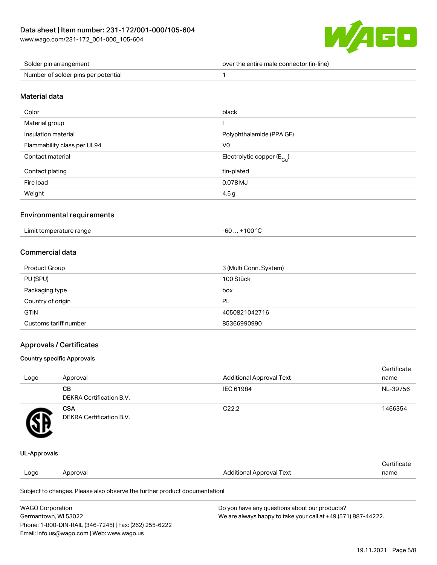

| Solder pin arrangement              | over the entire male connector (in-line) |
|-------------------------------------|------------------------------------------|
| Number of solder pins per potential |                                          |

#### Material data

| Color                       | black                                  |
|-----------------------------|----------------------------------------|
| Material group              |                                        |
| Insulation material         | Polyphthalamide (PPA GF)               |
| Flammability class per UL94 | V <sub>0</sub>                         |
| Contact material            | Electrolytic copper (E <sub>Cu</sub> ) |
| Contact plating             | tin-plated                             |
| Fire load                   | 0.078 MJ                               |
| Weight                      | 4.5g                                   |

#### Environmental requirements

| Limit temperature range<br>. | $\ldots$ +100 °C $\,$<br>-60 |
|------------------------------|------------------------------|
|------------------------------|------------------------------|

## Commercial data

| Product Group         | 3 (Multi Conn. System) |
|-----------------------|------------------------|
| PU (SPU)              | 100 Stück              |
| Packaging type        | box                    |
| Country of origin     | PL                     |
| <b>GTIN</b>           | 4050821042716          |
| Customs tariff number | 85366990990            |

## Approvals / Certificates

#### Country specific Approvals

|                     |                                                                            |                                 | Certificate |
|---------------------|----------------------------------------------------------------------------|---------------------------------|-------------|
| Logo                | Approval                                                                   | <b>Additional Approval Text</b> | name        |
|                     | <b>CB</b>                                                                  | IEC 61984                       | NL-39756    |
|                     | <b>DEKRA Certification B.V.</b>                                            |                                 |             |
|                     | <b>CSA</b>                                                                 | C <sub>22.2</sub>               | 1466354     |
|                     | DEKRA Certification B.V.                                                   |                                 |             |
| <b>UL-Approvals</b> |                                                                            |                                 |             |
|                     |                                                                            |                                 | Certificate |
| Logo                | Approval                                                                   | <b>Additional Approval Text</b> | name        |
|                     | Subject to changes. Please also observe the further product documentation! |                                 |             |
|                     |                                                                            |                                 |             |

| <b>WAGO Corporation</b>                                |
|--------------------------------------------------------|
| Germantown, WI 53022                                   |
| Phone: 1-800-DIN-RAIL (346-7245)   Fax: (262) 255-6222 |
| Email: info.us@wago.com   Web: www.wago.us             |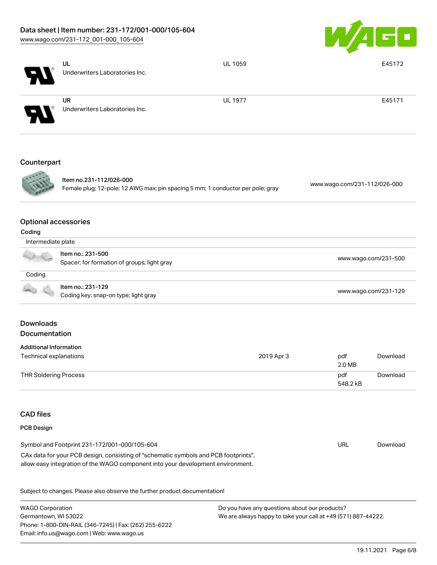# Data sheet | Item number: 231-172/001-000/105-604

[www.wago.com/231-172\\_001-000\\_105-604](http://www.wago.com/231-172_001-000_105-604)



|                                       | UL<br>Underwriters Laboratories Inc.                                                                                                                                   | <b>UL 1059</b> |                              | E45172   |  |
|---------------------------------------|------------------------------------------------------------------------------------------------------------------------------------------------------------------------|----------------|------------------------------|----------|--|
|                                       |                                                                                                                                                                        |                |                              |          |  |
|                                       | <b>UR</b><br>Underwriters Laboratories Inc.                                                                                                                            | <b>UL 1977</b> |                              | E45171   |  |
| Counterpart                           |                                                                                                                                                                        |                |                              |          |  |
|                                       | Item no.231-112/026-000<br>Female plug; 12-pole; 12 AWG max; pin spacing 5 mm; 1 conductor per pole; gray                                                              |                | www.wago.com/231-112/026-000 |          |  |
| <b>Optional accessories</b><br>Coding |                                                                                                                                                                        |                |                              |          |  |
| Intermediate plate                    |                                                                                                                                                                        |                |                              |          |  |
|                                       | Item no.: 231-500<br>Spacer; for formation of groups; light gray                                                                                                       |                | www.wago.com/231-500         |          |  |
| Coding                                |                                                                                                                                                                        |                |                              |          |  |
|                                       | Item no.: 231-129<br>Coding key; snap-on type; light gray                                                                                                              |                | www.wago.com/231-129         |          |  |
| <b>Downloads</b><br>Documentation     |                                                                                                                                                                        |                |                              |          |  |
| <b>Additional Information</b>         |                                                                                                                                                                        |                |                              |          |  |
| Technical explanations                |                                                                                                                                                                        | 2019 Apr 3     | pdf<br>2.0 MB                | Download |  |
| <b>THR Soldering Process</b>          |                                                                                                                                                                        |                | pdf<br>548.2 kB              | Download |  |
| <b>CAD files</b>                      |                                                                                                                                                                        |                |                              |          |  |
| PCB Design                            |                                                                                                                                                                        |                |                              |          |  |
|                                       | Symbol and Footprint 231-172/001-000/105-604                                                                                                                           |                | <b>URL</b>                   | Download |  |
|                                       | CAx data for your PCB design, consisting of "schematic symbols and PCB footprints",<br>allow easy integration of the WAGO component into your development environment. |                |                              |          |  |

Subject to changes. Please also observe the further product documentation!

WAGO Corporation Germantown, WI 53022 Phone: 1-800-DIN-RAIL (346-7245) | Fax: (262) 255-6222 Email: info.us@wago.com | Web: www.wago.us Do you have any questions about our products? We are always happy to take your call at +49 (571) 887-44222.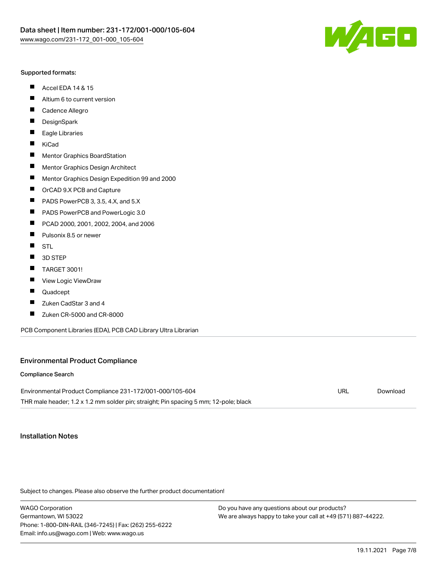

#### Supported formats:

- $\blacksquare$ Accel EDA 14 & 15
- $\blacksquare$ Altium 6 to current version
- $\blacksquare$ Cadence Allegro
- $\blacksquare$ **DesignSpark**
- $\blacksquare$ Eagle Libraries
- $\blacksquare$ KiCad
- $\blacksquare$ Mentor Graphics BoardStation
- $\blacksquare$ Mentor Graphics Design Architect
- $\blacksquare$ Mentor Graphics Design Expedition 99 and 2000
- $\blacksquare$ OrCAD 9.X PCB and Capture
- $\blacksquare$ PADS PowerPCB 3, 3.5, 4.X, and 5.X
- $\blacksquare$ PADS PowerPCB and PowerLogic 3.0
- $\blacksquare$ PCAD 2000, 2001, 2002, 2004, and 2006
- $\blacksquare$ Pulsonix 8.5 or newer
- $\blacksquare$ STL
- 3D STEP П
- П TARGET 3001!
- $\blacksquare$ View Logic ViewDraw
- П Quadcept
- Zuken CadStar 3 and 4  $\blacksquare$
- Zuken CR-5000 and CR-8000 П

PCB Component Libraries (EDA), PCB CAD Library Ultra Librarian

#### Environmental Product Compliance

#### Compliance Search

| Environmental Product Compliance 231-172/001-000/105-604                             | URL | Download |
|--------------------------------------------------------------------------------------|-----|----------|
| THR male header; 1.2 x 1.2 mm solder pin; straight; Pin spacing 5 mm; 12-pole; black |     |          |

### Installation Notes

Subject to changes. Please also observe the further product documentation!

WAGO Corporation Germantown, WI 53022 Phone: 1-800-DIN-RAIL (346-7245) | Fax: (262) 255-6222 Email: info.us@wago.com | Web: www.wago.us